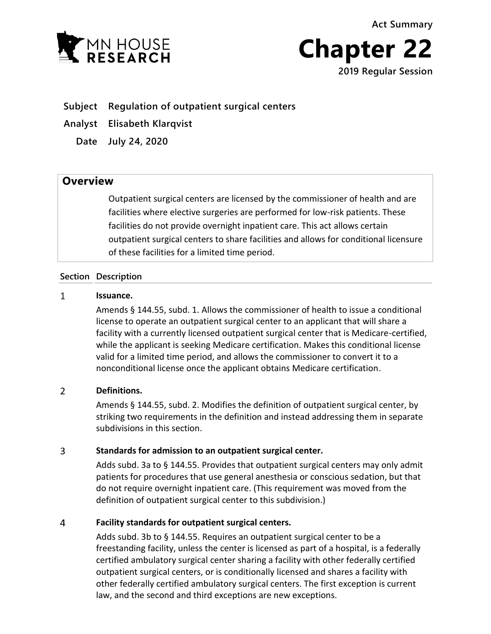**Act Summary**





## **Subject Regulation of outpatient surgical centers**

**Analyst Elisabeth Klarqvist**

**Date July 24, 2020**

# **Overview**

Outpatient surgical centers are licensed by the commissioner of health and are facilities where elective surgeries are performed for low-risk patients. These facilities do not provide overnight inpatient care. This act allows certain outpatient surgical centers to share facilities and allows for conditional licensure of these facilities for a limited time period.

### **Section Description**

#### $\mathbf{1}$ **Issuance.**

Amends § 144.55, subd. 1. Allows the commissioner of health to issue a conditional license to operate an outpatient surgical center to an applicant that will share a facility with a currently licensed outpatient surgical center that is Medicare-certified, while the applicant is seeking Medicare certification. Makes this conditional license valid for a limited time period, and allows the commissioner to convert it to a nonconditional license once the applicant obtains Medicare certification.

#### $\overline{2}$ **Definitions.**

Amends § 144.55, subd. 2. Modifies the definition of outpatient surgical center, by striking two requirements in the definition and instead addressing them in separate subdivisions in this section.

#### 3 **Standards for admission to an outpatient surgical center.**

Adds subd. 3a to § 144.55. Provides that outpatient surgical centers may only admit patients for procedures that use general anesthesia or conscious sedation, but that do not require overnight inpatient care. (This requirement was moved from the definition of outpatient surgical center to this subdivision.)

#### $\overline{4}$ **Facility standards for outpatient surgical centers.**

Adds subd. 3b to § 144.55. Requires an outpatient surgical center to be a freestanding facility, unless the center is licensed as part of a hospital, is a federally certified ambulatory surgical center sharing a facility with other federally certified outpatient surgical centers, or is conditionally licensed and shares a facility with other federally certified ambulatory surgical centers. The first exception is current law, and the second and third exceptions are new exceptions.